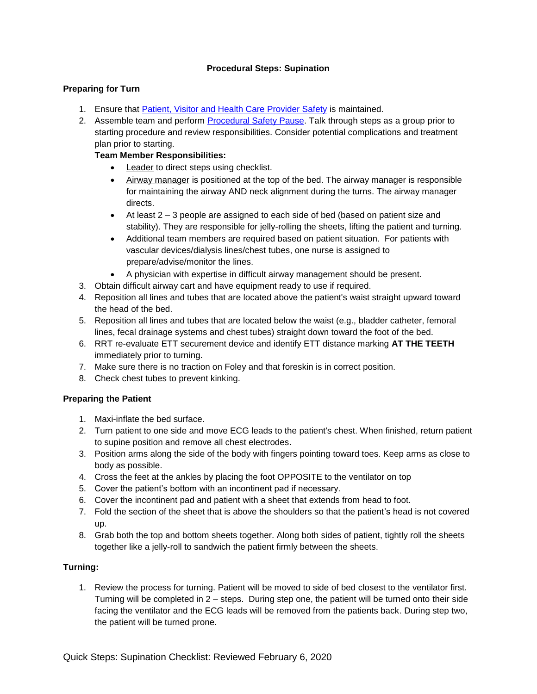### **Procedural Steps: Supination**

## **Preparing for Turn**

- 1. Ensure that [Patient, Visitor and Health Care Provider Safety](https://www.lhsc.on.ca/critical-care-trauma-centre/safety-in-critical-care-protecting-our-patients-visitors-and-team) is maintained.
- 2. Assemble team and perform **Procedural Safety Pause**. Talk through steps as a group prior to starting procedure and review responsibilities. Consider potential complications and treatment plan prior to starting.

# **Team Member Responsibilities:**

- Leader to direct steps using checklist.
- Airway manager is positioned at the top of the bed. The airway manager is responsible for maintaining the airway AND neck alignment during the turns. The airway manager directs.
- At least 2 3 people are assigned to each side of bed (based on patient size and stability). They are responsible for jelly-rolling the sheets, lifting the patient and turning.
- Additional team members are required based on patient situation. For patients with vascular devices/dialysis lines/chest tubes, one nurse is assigned to prepare/advise/monitor the lines.
- A physician with expertise in difficult airway management should be present.
- 3. Obtain difficult airway cart and have equipment ready to use if required.
- 4. Reposition all lines and tubes that are located above the patient's waist straight upward toward the head of the bed.
- 5. Reposition all lines and tubes that are located below the waist (e.g., bladder catheter, femoral lines, fecal drainage systems and chest tubes) straight down toward the foot of the bed.
- 6. RRT re-evaluate ETT securement device and identify ETT distance marking **AT THE TEETH** immediately prior to turning.
- 7. Make sure there is no traction on Foley and that foreskin is in correct position.
- 8. Check chest tubes to prevent kinking.

# **Preparing the Patient**

- 1. Maxi-inflate the bed surface.
- 2. Turn patient to one side and move ECG leads to the patient's chest. When finished, return patient to supine position and remove all chest electrodes.
- 3. Position arms along the side of the body with fingers pointing toward toes. Keep arms as close to body as possible.
- 4. Cross the feet at the ankles by placing the foot OPPOSITE to the ventilator on top
- 5. Cover the patient's bottom with an incontinent pad if necessary.
- 6. Cover the incontinent pad and patient with a sheet that extends from head to foot.
- 7. Fold the section of the sheet that is above the shoulders so that the patient's head is not covered up.
- 8. Grab both the top and bottom sheets together. Along both sides of patient, tightly roll the sheets together like a jelly-roll to sandwich the patient firmly between the sheets.

# **Turning:**

1. Review the process for turning. Patient will be moved to side of bed closest to the ventilator first. Turning will be completed in 2 – steps. During step one, the patient will be turned onto their side facing the ventilator and the ECG leads will be removed from the patients back. During step two, the patient will be turned prone.